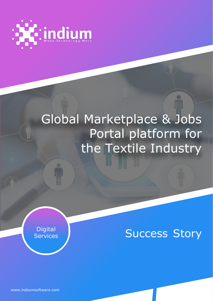

# Global Marketplace & Jobs Portal platform for the Textile Industry

Digital<br>Services

**Success Story** 

[www.indiumsoftware.com](http://www.indiumsoftware.com/)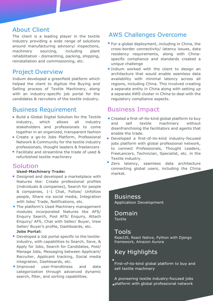## About Client

The client is a leading player in the textile industry providing a wide range of solutions around manufacturing advisory/ inspections, machinery sourcing, including plant rehabilitation - dismantling, packing, shipping, reinstallation and commissioning, etc.

# Project Overview

Indium developed a greenfield platform which helped the client to digitize the Buying and Selling process of Textile Machinery, along with an industry-specific job portal for the candidates & recruiters of the textile industry.

# Business Requirement

- Build a Global Digital Solution for the Textile industry, which allows all industry stakeholders and professionals to come together in an organized, transparent fashion
- Create a go-to Jobs Platform, Professional Network & Community for the textile industry professionals, thought leaders & freelancers
- Facilitate and streamline the trade of used & refurbished textile machinery

# Solution

#### **Used-Machinery Trade:**

- Designed and developed a marketplace with features like: Create professional profiles (individuals & companies), Search for people & companies, 1-1 Chat, Follow/ Unfollow people, Share via social media, Integration with Jobs/ Trade, Notifications, etc.
- The platform's Used Machinery management modules incorporated features like AFS/ Enquiry Search, Post AFS/ Enquiry, Attach Enquiry/ AFS, Chat with Seller/ Buyer, View Seller/ Buyer's profile, Dashboards, etc.

#### **Jobs Portal:**

- Developed a Job portal specific to the textileindustry, with capabilities to Search, Save, & Apply for Jobs, Search for Candidates, Post/ Manage Jobs, Messaging between Applicant/ Recruiter, Applicant tracking, Social media integration, Dashboards, etc.
- **Improved** user-friendliness and data categorization through advanced dynamic search, filter, and sorting capabilities.

# AWS Challenges Overcome

- **For a global deployment, including in China, the** cross-border connectivity/ latency issues, data residency requirements, along with Chinaspecific compliance and standards created a unique challenge
- **Indium worked with the client to design an** architecture that would enable seamless data availability with minimal latency across all regions, including China. This involved creating a separate entity in China along with setting up a separate AWS cluster in China to deal with the regulatory compliance aspects.

# Business Impact

- Created a first-of-its-kind global platform to buy and sell textile machinery without disenfranchising the facilitators and agents that enable the trade.
- Developed a first-of-its-kind industry-focused jobs platform with global professional network, to connect Professionals, Thought Leaders, FreeLancers, Technician, Specialist, etc. in the Textile industry.
- Zero latency, seamless data architecture connecting global users, including the China market.

**Business Application Development** 

Domain Textile

### Tools

ReactJS, React Native, Python with Django framework, Amazon Aurora

# **Key Highlights**

First-of-its-kind global platform to buy and sell textile machinery

A pioneering textile industry-focused jobs platform with global professional network